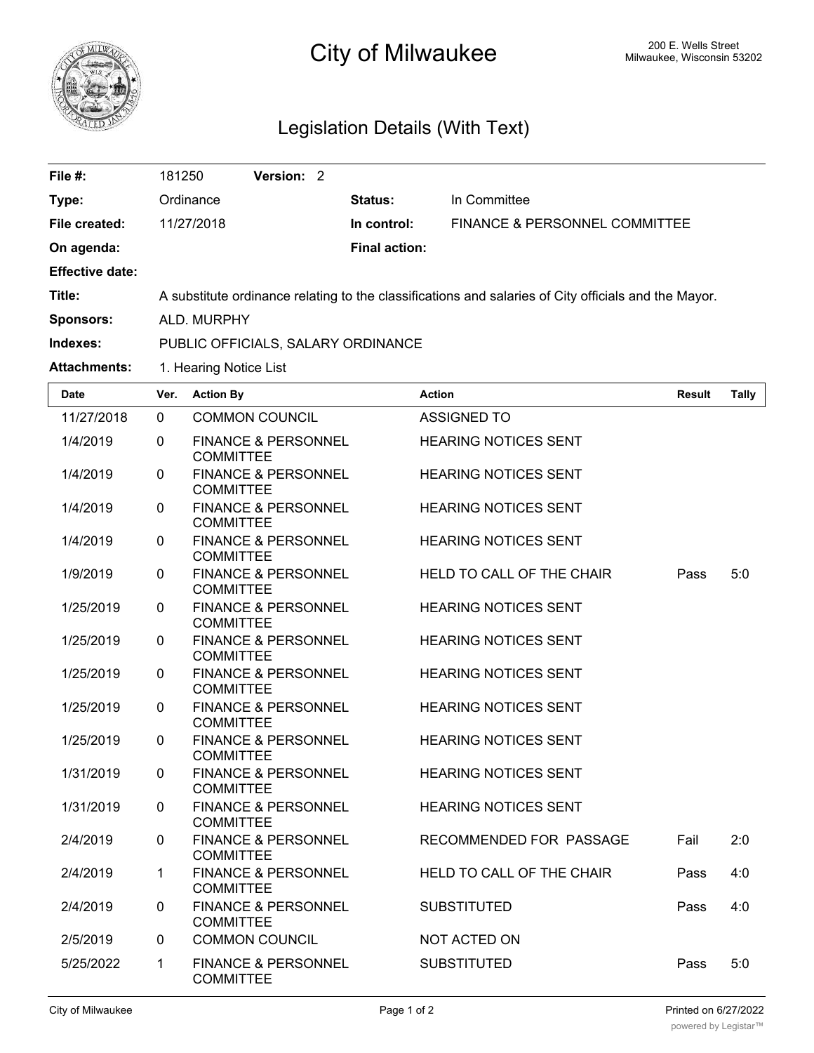

## City of Milwaukee Milwaukee, Wisconsin 53202

## Legislation Details (With Text)

| File #:                | 181250                                                                                               | Version: 2 |  |                      |                                          |  |
|------------------------|------------------------------------------------------------------------------------------------------|------------|--|----------------------|------------------------------------------|--|
| Type:                  | Ordinance                                                                                            |            |  | Status:              | In Committee                             |  |
| File created:          | 11/27/2018                                                                                           |            |  | In control:          | <b>FINANCE &amp; PERSONNEL COMMITTEE</b> |  |
| On agenda:             |                                                                                                      |            |  | <b>Final action:</b> |                                          |  |
| <b>Effective date:</b> |                                                                                                      |            |  |                      |                                          |  |
| Title:                 | A substitute ordinance relating to the classifications and salaries of City officials and the Mayor. |            |  |                      |                                          |  |
| <b>Sponsors:</b>       | ALD, MURPHY                                                                                          |            |  |                      |                                          |  |
| Indexes:               | PUBLIC OFFICIALS, SALARY ORDINANCE                                                                   |            |  |                      |                                          |  |
| <b>Attachments:</b>    | 1. Hearing Notice List                                                                               |            |  |                      |                                          |  |

| <b>Date</b> | Ver.         | <b>Action By</b>                                   | <b>Action</b>               | <b>Result</b> | Tally |
|-------------|--------------|----------------------------------------------------|-----------------------------|---------------|-------|
| 11/27/2018  | $\Omega$     | <b>COMMON COUNCIL</b>                              | <b>ASSIGNED TO</b>          |               |       |
| 1/4/2019    | $\mathbf 0$  | <b>FINANCE &amp; PERSONNEL</b><br><b>COMMITTEE</b> | <b>HEARING NOTICES SENT</b> |               |       |
| 1/4/2019    | $\mathbf{0}$ | <b>FINANCE &amp; PERSONNEL</b><br><b>COMMITTEE</b> | <b>HEARING NOTICES SENT</b> |               |       |
| 1/4/2019    | $\mathbf 0$  | <b>FINANCE &amp; PERSONNEL</b><br><b>COMMITTEE</b> | <b>HEARING NOTICES SENT</b> |               |       |
| 1/4/2019    | $\mathbf 0$  | <b>FINANCE &amp; PERSONNEL</b><br><b>COMMITTEE</b> | <b>HEARING NOTICES SENT</b> |               |       |
| 1/9/2019    | $\mathbf{0}$ | <b>FINANCE &amp; PERSONNEL</b><br><b>COMMITTEE</b> | HELD TO CALL OF THE CHAIR   | Pass          | 5:0   |
| 1/25/2019   | $\Omega$     | <b>FINANCE &amp; PERSONNEL</b><br><b>COMMITTEE</b> | <b>HEARING NOTICES SENT</b> |               |       |
| 1/25/2019   | $\mathbf 0$  | <b>FINANCE &amp; PERSONNEL</b><br><b>COMMITTEE</b> | <b>HEARING NOTICES SENT</b> |               |       |
| 1/25/2019   | $\mathbf 0$  | <b>FINANCE &amp; PERSONNEL</b><br><b>COMMITTEE</b> | <b>HEARING NOTICES SENT</b> |               |       |
| 1/25/2019   | $\mathbf 0$  | <b>FINANCE &amp; PERSONNEL</b><br><b>COMMITTEE</b> | <b>HEARING NOTICES SENT</b> |               |       |
| 1/25/2019   | $\Omega$     | <b>FINANCE &amp; PERSONNEL</b><br><b>COMMITTEE</b> | <b>HEARING NOTICES SENT</b> |               |       |
| 1/31/2019   | $\mathbf 0$  | <b>FINANCE &amp; PERSONNEL</b><br><b>COMMITTEE</b> | <b>HEARING NOTICES SENT</b> |               |       |
| 1/31/2019   | $\mathbf 0$  | <b>FINANCE &amp; PERSONNEL</b><br><b>COMMITTEE</b> | <b>HEARING NOTICES SENT</b> |               |       |
| 2/4/2019    | $\mathbf 0$  | <b>FINANCE &amp; PERSONNEL</b><br><b>COMMITTEE</b> | RECOMMENDED FOR PASSAGE     | Fail          | 2:0   |
| 2/4/2019    | 1            | <b>FINANCE &amp; PERSONNEL</b><br><b>COMMITTEE</b> | HELD TO CALL OF THE CHAIR   | Pass          | 4:0   |
| 2/4/2019    | $\mathbf 0$  | <b>FINANCE &amp; PERSONNEL</b><br><b>COMMITTEE</b> | <b>SUBSTITUTED</b>          | Pass          | 4:0   |
| 2/5/2019    | $\mathbf 0$  | <b>COMMON COUNCIL</b>                              | NOT ACTED ON                |               |       |
| 5/25/2022   | $\mathbf 1$  | <b>FINANCE &amp; PERSONNEL</b><br><b>COMMITTEE</b> | <b>SUBSTITUTED</b>          | Pass          | 5:0   |